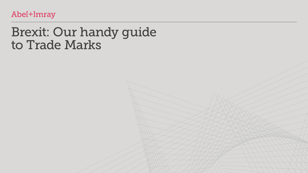

# Brexit: Our handy guide to Trade Marks

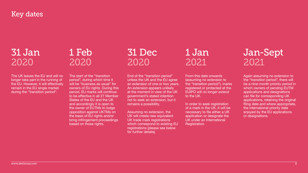## Key dates

## 31 Jan 2020

The UK leaves the EU and will no longer take part in the running of the EU. However, it will effectively remain in the EU single market during the "transition period".

The start of the "transition period", during which time it will be "business as usual" for owners of EU rights. During this period, EU marks will continue to be effective in all 27 Member States of the EU and the UK and accordingly it is open to the owner of EUTMs to lodge opposition against UKTMs on the basis of EU rights and/or bring infringement proceedings based on those rights.

End of the "transition period" unless the UK and the EU agree an extension of one or two years. An extension appears unlikely at the moment in view of the UK government's stated intention not to seek an extension, but it remains a possibility.

Assuming no extension, the UK will create new equivalent UK trade mark registrations which correspond to existing EU registrations (please see below for further details).

From this date onwards (assuming no extension to the "transition period"), marks registered or protected at the EUIPO will no longer extend to the UK.

In order to seek registration of a mark in the UK, it will be necessary to file either a UK application or designate the UK under an International Registration.

Again assuming no extension to the "transition period", there will be a nine-month priority period in which owners of pending EUTM applications and designations can file for corresponding UK applications, retaining the original filing date and where appropriate, the international priority date enjoyed by the EU applications or designations.





## 1 Feb 2020

## 31 Dec 2020

## 1 Jan 2021

## Jan-Sept 2021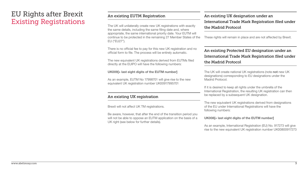#### An existing EUTM Registration

There is no official fee to pay for this new UK registration and no official form to file. The process will be entirely automatic.

The new equivalent UK registrations derived from EUTMs filed directly at the EUIPO will have the following numbers:

#### **UK009[+ last eight digits of the EUTM number]**

The UK will unilaterally create new UK registrations with exactly the same details, including the same filing date and, where appropriate, the same international priority date. Your EUTM will continue to be protected in the remaining 27 Member States of the EU ("EU27"). the Madrid Protocol These rights will remain in place and are not affected by Brexit.

As an example, EUTM No 17998701 will give rise to the new equivalent UK registration number UK00917995701

#### An existing UK registration

Brexit will not affect UK TM registrations.

Be aware, however, that after the end of the transition period you will not be able to oppose an EUTM application on the basis of a UK right (see below for further details).

## An existing UK designation under an International Trade Mark Registration filed under

#### An existing Protected EU designation under an International Trade Mark Registration filed under the Madrid Protocol

The UK will create national UK registrations (note **not** new UK designations) corresponding to EU designations under the Madrid Protocol.

If it is desired to keep all rights under the umbrella of the International Registration, the resulting UK registration can then be replaced by a subsequent UK designation.

The new equivalent UK registrations derived from designations of the EU under International Registrations will have the following numbers:

#### **UK008[+ last eight digits of the EUTM number]**

As an example, International Registration (EU) No. 917273 will give rise to the new equivalent UK registration number UK00800917273





### EU Rights after Brexit Existing Registrations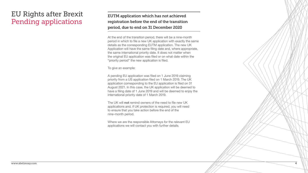#### EUTM application which has not achieved registration before the end of the transition period, due to end on 31 December 2020

At the end of the transition period, there will be a nine-month period in which to file a new UK application with exactly the same details as the corresponding EUTM application. The new UK Application will have the same filing date and, where appropriate, the same international priority date. It does not matter when the original EU application was filed or on what date within the "priority period" the new application is filed.

To give an example:

A pending EU application was filed on 1 June 2019 claiming priority from a US application filed on 1 March 2019. The UK application corresponding to the EU application is filed on 31 August 2021. In this case, the UK application will be deemed to have a filing date of 1 June 2019 and will be deemed to enjoy the international priority date of 1 March 2019.

The UK will **not** remind owners of the need to file new UK applications and, if UK protection is required, you will need to ensure that you take action before the end of the nine-month period.

Where we are the responsible Attorneys for the relevant EU applications we will contact you with further details.



## EU Rights after Brexit Pending applications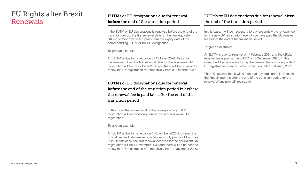If the EUTM or EU designations is renewed before the end of the transition period, the first renewal date for the new equivalent UK registration will be ten years from the expiry date of the corresponding EUTM or the EU designation.

To give an example:

An EUTM is due for renewal on 31 October 2020. Assuming it is renewed, then the first renewal date for the equivalent UK registration will be 31 October 2030 and there will be no need to renew the UK registration retrospectively from 31 October 2020.

#### EUTMs or EU designations due for renewal after the end of the transition period

#### EUTMs or EU designations due for renewal **before** the end of the transition period but where the renewal fee is paid late, after the end of the

transition period

In this case, the late renewal of the corresponding EUTM registration will automatically renew the new equivalent UK registration.

To give an example:

An EUTM is due for renewal on 1 November 2020. However, the official fee (and late renewal surcharge) is only paid on 1 February 2021. In this case, the first renewal deadline for the equivalent UK registration will be 1 November 2030 and there will be no need to renew the UK registration retrospectively from 1 November 2020.

In this case, it will be necessary to pay separately the renewal fee for the new UK registration, even if you have paid the EU renewal fee before the end of the transition period.

To give an example:

An EUTM is due for renewal on 1 February 2021 and the official renewal fee is paid at the EUIPO on 1 December 2020. In this case, it will be necessary to pay the renewal fee for the equivalent UK registration to enjoy further protection until 1 February 2031.

The UK has said that it will not charge any additional "late" fee in the first six months after the end of the transition period for the renewal of any new UK registration.







### EU Rights after Brexit Renewals

#### EUTMs or EU designations due for renewal **before** the end of the transition period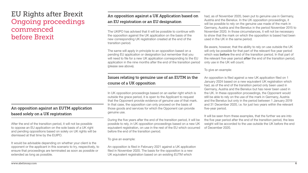#### An opposition against an EUTM application based solely on a UK registration

After the end of the transition period, it will not be possible to oppose an EU application on the sole basis of a UK right and pending oppositions based on solely on UK rights will be dismissed at that time by the EUIPO.

It would be advisable depending on whether your client is the opponent or the applicant in this scenario to try, respectively, to ensure that proceedings are terminated as soon as possible or extended as long as possible.

#### An opposition against a UK Application based on an EU registration or an EU designation

The UKIPO has advised that it will be possible to continue with the opposition against the UK application on the basis of the new corresponding UK registration created at the end of the transition period.

#### Issues relating to genuine use of an EUTM in the course of a UK opposition

In UK opposition proceedings based on an earlier right which is outside the grace period, it is open to the Applicant to request that the Opponent provide evidence of genuine use of that mark. In that case, the opposition can only proceed on the basis of those goods and services for which the Opponent can provide genuine use.

During the five years after the end of the transition period, it will be possible to rely, in UK opposition proceedings based on a new UK equivalent registration, on use in the rest of the EU which occurred before the end of the transition period.

The same will apply in principle to an opposition based on a pending EU application or designation but remember that you will need to file for a new UK application corresponding to the EU application in the nine months after the end of the transition period (please see above). Be aware, however, that the ability to rely on use outside the UK will only be possible for that part of the relevant five year period which was **before** the end of the transition period. In that part of the relevant five-year period **after** the end of the transition period, only use in the UK will count.

To give an example:

An opposition is filed in February 2021 against a UK application filed in November 2020. The basis for the opposition is a new UK equivalent registration based on an existing EUTM which

had, as of November 2020, been put to genuine use in Germany, Austria and the Benelux. In the UK opposition proceedings, it will be possible to rely on the genuine use made of the mark in Germany, Austria and the Benelux in the period November 2015 to November 2020. In those circumstances, it will not be necessary to show that the mark on which the opposition is based had been used in the UK in the same period.

To give an example:

An opposition is filed against a new UK application filed on 1 January 2024 based on a new equivalent UK registration which had, as of the end of the transition period only been used in Germany, Austria and the Benelux but has never been used in the UK. In these opposition proceedings, the Opponent would still be able to rely on the use of the mark in Germany, Austria and the Benelux but only in the period between 1 January 2019 and 31 December 2020, i.e. for just two years within the relevant five-year period.

It will be seen from these examples, that the further we are into the five year period after the end of the transition period, the less weight will be accorded to the use outside the UK before the end of December 2020.











### EU Rights after Brexit Ongoing proceedings commenced before Brexit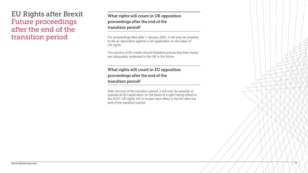## What rights will count in UK opposition



proceedings after the end of the transition period?

For proceedings filed after 1 January 2021, it will only be possible to file an opposition against a UK application on the basis of UK rights.

The owners of EU marks should therefore ensure that their marks are adequately protected in the UK in the future.

#### What rights will count in EU opposition proceedings after the end of the transition period?

After the end of the transition period, it will only be possible to oppose an EU application on the basis of a right having effect in the EU27. UK rights will no longer have effect in the EU after the end of the transition period.

### EU Rights after Brexit Future proceedings after the end of the transition period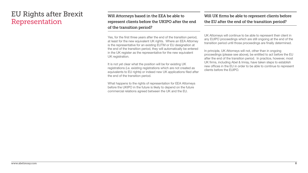## Will Attorneys based in the EEA be able to represent clients before the UKIPO after the end

of the transition period?

Yes, for the first three years after the end of the transition period, at least for the new equivalent UK rights. Where an EEA Attorney is the representative for an existing EUTM or EU designation at the end of the transition period, they will automatically be entered in the UK register as the representative for the new equivalent UK registration.

It is not yet clear what the position will be for existing UK registrations (i.e. existing registrations which are not created as equivalents to EU rights) or indeed new UK applications filed after the end of the transition period.

What happens to the rights of representation for EEA Attorneys before the UKIPO in the future is likely to depend on the future commercial relations agreed between the UK and the EU.

#### Will UK firms be able to represent clients before the EU after the end of the transition period?

UK Attorneys will continue to be able to represent their client in any EUIPO proceedings which are still ongoing at the end of the transition period until those proceedings are finally determined.

In principle, UK Attorneys will not, other than in ongoing proceedings (please see above), be entitled to act before the EU after the end of the transition period. In practice, however, most UK firms, including Abel & Imray, have taken steps to establish new offices in the EU in order to be able to continue to represent clients before the EUIPO.









### EU Rights after Brexit Representation